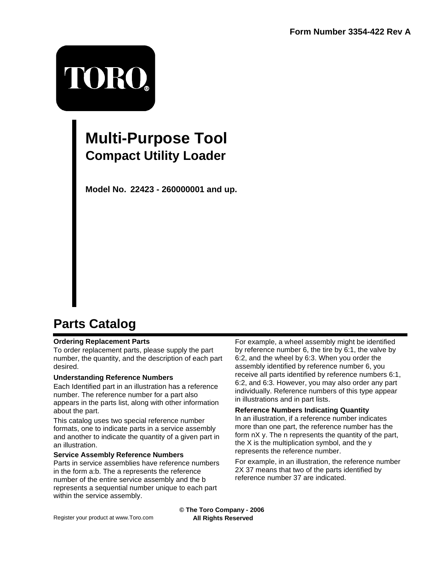# TORO.

## **Multi-Purpose Tool Compact Utility Loader**

**Model No. 22423 - 260000001 and up.**

## **Parts Catalog**

#### **Ordering Replacement Parts**

To order replacement parts, please supply the part number, the quantity, and the description of each part desired.

#### **Understanding Reference Numbers**

Each Identified part in an illustration has a reference number. The reference number for a part also appears in the parts list, along with other information about the part.

This catalog uses two special reference number formats, one to indicate parts in a service assembly and another to indicate the quantity of a given part in an illustration.

#### **Service Assembly Reference Numbers**

Parts in service assemblies have reference numbers in the form a:b. The a represents the reference number of the entire service assembly and the b represents a sequential number unique to each part within the service assembly.

For example, a wheel assembly might be identified by reference number 6, the tire by 6:1, the valve by 6:2, and the wheel by 6:3. When you order the assembly identified by reference number 6, you receive all parts identified by reference numbers 6:1, 6:2, and 6:3. However, you may also order any part individually. Reference numbers of this type appear in illustrations and in part lists.

#### **Reference Numbers Indicating Quantity**

In an illustration, if a reference number indicates more than one part, the reference number has the form nX y. The n represents the quantity of the part, the X is the multiplication symbol, and the y represents the reference number.

For example, in an illustration, the reference number 2X 37 means that two of the parts identified by reference number 37 are indicated.

**© The Toro Company - 2006 All Rights Reserved**